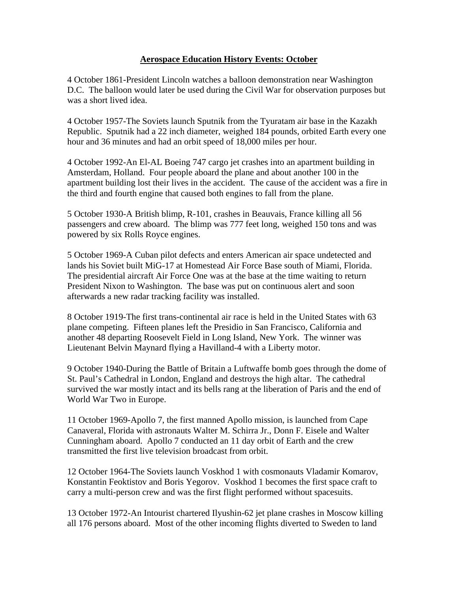## **Aerospace Education History Events: October**

4 October 1861-President Lincoln watches a balloon demonstration near Washington D.C. The balloon would later be used during the Civil War for observation purposes but was a short lived idea.

4 October 1957-The Soviets launch Sputnik from the Tyuratam air base in the Kazakh Republic. Sputnik had a 22 inch diameter, weighed 184 pounds, orbited Earth every one hour and 36 minutes and had an orbit speed of 18,000 miles per hour.

4 October 1992-An El-AL Boeing 747 cargo jet crashes into an apartment building in Amsterdam, Holland. Four people aboard the plane and about another 100 in the apartment building lost their lives in the accident. The cause of the accident was a fire in the third and fourth engine that caused both engines to fall from the plane.

5 October 1930-A British blimp, R-101, crashes in Beauvais, France killing all 56 passengers and crew aboard. The blimp was 777 feet long, weighed 150 tons and was powered by six Rolls Royce engines.

5 October 1969-A Cuban pilot defects and enters American air space undetected and lands his Soviet built MiG-17 at Homestead Air Force Base south of Miami, Florida. The presidential aircraft Air Force One was at the base at the time waiting to return President Nixon to Washington. The base was put on continuous alert and soon afterwards a new radar tracking facility was installed.

8 October 1919-The first trans-continental air race is held in the United States with 63 plane competing. Fifteen planes left the Presidio in San Francisco, California and another 48 departing Roosevelt Field in Long Island, New York. The winner was Lieutenant Belvin Maynard flying a Havilland-4 with a Liberty motor.

9 October 1940-During the Battle of Britain a Luftwaffe bomb goes through the dome of St. Paul's Cathedral in London, England and destroys the high altar. The cathedral survived the war mostly intact and its bells rang at the liberation of Paris and the end of World War Two in Europe.

11 October 1969-Apollo 7, the first manned Apollo mission, is launched from Cape Canaveral, Florida with astronauts Walter M. Schirra Jr., Donn F. Eisele and Walter Cunningham aboard. Apollo 7 conducted an 11 day orbit of Earth and the crew transmitted the first live television broadcast from orbit.

12 October 1964-The Soviets launch Voskhod 1 with cosmonauts Vladamir Komarov, Konstantin Feoktistov and Boris Yegorov. Voskhod 1 becomes the first space craft to carry a multi-person crew and was the first flight performed without spacesuits.

13 October 1972-An Intourist chartered Ilyushin-62 jet plane crashes in Moscow killing all 176 persons aboard. Most of the other incoming flights diverted to Sweden to land